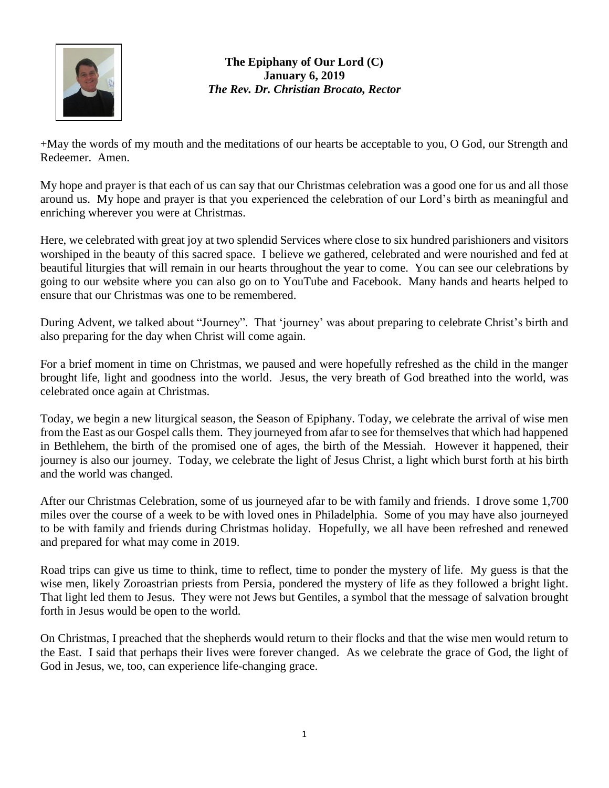

## **The Epiphany of Our Lord (C) January 6, 2019** *The Rev. Dr. Christian Brocato, Rector*

+May the words of my mouth and the meditations of our hearts be acceptable to you, O God, our Strength and Redeemer. Amen.

My hope and prayer is that each of us can say that our Christmas celebration was a good one for us and all those around us. My hope and prayer is that you experienced the celebration of our Lord's birth as meaningful and enriching wherever you were at Christmas.

Here, we celebrated with great joy at two splendid Services where close to six hundred parishioners and visitors worshiped in the beauty of this sacred space. I believe we gathered, celebrated and were nourished and fed at beautiful liturgies that will remain in our hearts throughout the year to come. You can see our celebrations by going to our website where you can also go on to YouTube and Facebook. Many hands and hearts helped to ensure that our Christmas was one to be remembered.

During Advent, we talked about "Journey". That 'journey' was about preparing to celebrate Christ's birth and also preparing for the day when Christ will come again.

For a brief moment in time on Christmas, we paused and were hopefully refreshed as the child in the manger brought life, light and goodness into the world. Jesus, the very breath of God breathed into the world, was celebrated once again at Christmas.

Today, we begin a new liturgical season, the Season of Epiphany. Today, we celebrate the arrival of wise men from the East as our Gospel calls them. They journeyed from afar to see for themselves that which had happened in Bethlehem, the birth of the promised one of ages, the birth of the Messiah. However it happened, their journey is also our journey. Today, we celebrate the light of Jesus Christ, a light which burst forth at his birth and the world was changed.

After our Christmas Celebration, some of us journeyed afar to be with family and friends. I drove some 1,700 miles over the course of a week to be with loved ones in Philadelphia. Some of you may have also journeyed to be with family and friends during Christmas holiday. Hopefully, we all have been refreshed and renewed and prepared for what may come in 2019.

Road trips can give us time to think, time to reflect, time to ponder the mystery of life. My guess is that the wise men, likely Zoroastrian priests from Persia, pondered the mystery of life as they followed a bright light. That light led them to Jesus. They were not Jews but Gentiles, a symbol that the message of salvation brought forth in Jesus would be open to the world.

On Christmas, I preached that the shepherds would return to their flocks and that the wise men would return to the East. I said that perhaps their lives were forever changed. As we celebrate the grace of God, the light of God in Jesus, we, too, can experience life-changing grace.